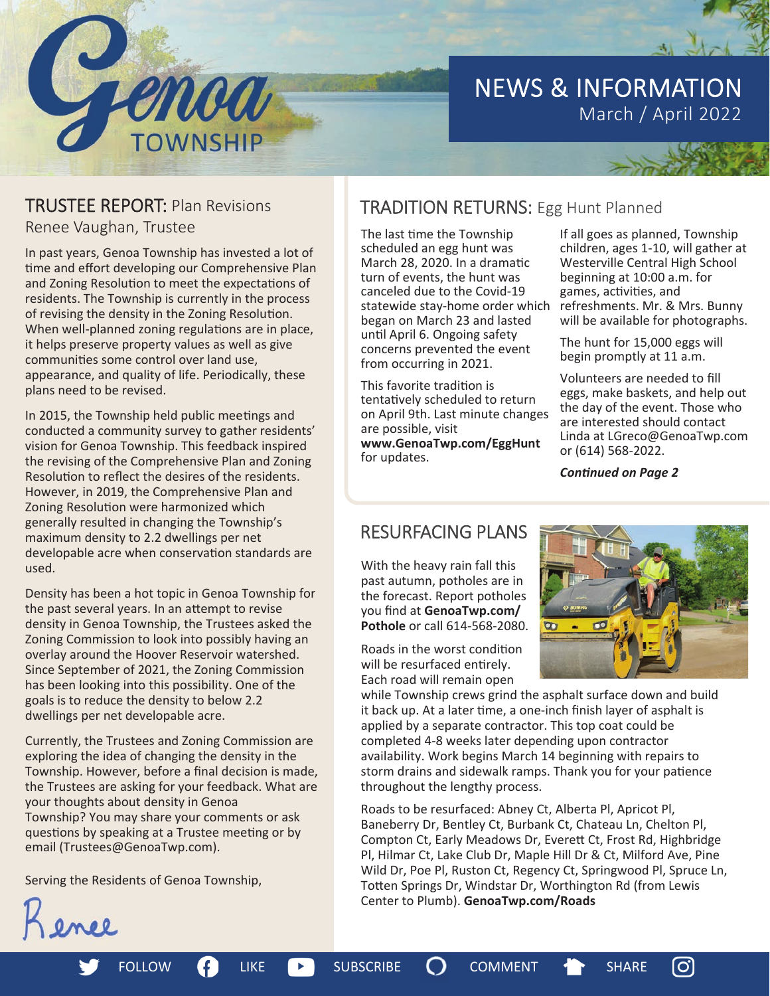

# NEWS & INFORMATION March / April 2022



Renee Vaughan, Trustee

In past years, Genoa Township has invested a lot of time and effort developing our Comprehensive Plan and Zoning Resolution to meet the expectations of residents. The Township is currently in the process of revising the density in the Zoning Resolution. When well-planned zoning regulations are in place, it helps preserve property values as well as give communities some control over land use, appearance, and quality of life. Periodically, these plans need to be revised.

In 2015, the Township held public meetings and conducted a community survey to gather residents' vision for Genoa Township. This feedback inspired the revising of the Comprehensive Plan and Zoning Resolution to reflect the desires of the residents. However, in 2019, the Comprehensive Plan and Zoning Resolution were harmonized which generally resulted in changing the Township's maximum density to 2.2 dwellings per net developable acre when conservation standards are used.

Density has been a hot topic in Genoa Township for the past several years. In an attempt to revise density in Genoa Township, the Trustees asked the Zoning Commission to look into possibly having an overlay around the Hoover Reservoir watershed. Since September of 2021, the Zoning Commission has been looking into this possibility. One of the goals is to reduce the density to below 2.2 dwellings per net developable acre.

Currently, the Trustees and Zoning Commission are exploring the idea of changing the density in the Township. However, before a final decision is made, the Trustees are asking for your feedback. What are your thoughts about density in Genoa Township? You may share your comments or ask questions by speaking at a Trustee meeting or by email (Trustees@GenoaTwp.com).

Serving the Residents of Genoa Township,



The last time the Township scheduled an egg hunt was March 28, 2020. In a dramatic turn of events, the hunt was canceled due to the Covid-19 statewide stay-home order which began on March 23 and lasted unƟl April 6. Ongoing safety concerns prevented the event from occurring in 2021.

This favorite tradition is tentatively scheduled to return on April 9th. Last minute changes are possible, visit **www.GenoaTwp.com/EggHunt**  for updates.

If all goes as planned, Township children, ages 1-10, will gather at Westerville Central High School beginning at 10:00 a.m. for games, activities, and refreshments. Mr. & Mrs. Bunny will be available for photographs.

The hunt for 15,000 eggs will begin promptly at 11 a.m.

Volunteers are needed to fill eggs, make baskets, and help out the day of the event. Those who are interested should contact Linda at LGreco@GenoaTwp.com or (614) 568-2022.

*ConƟnued on Page 2* 

## RESURFACING PLANS

With the heavy rain fall this past autumn, potholes are in the forecast. Report potholes you find at GenoaTwp.com/ **Pothole** or call 614-568-2080.

Roads in the worst condition will be resurfaced entirely. Each road will remain open

FOLLOW **COMMENT** LIKE **DEALL** SUBSCRIBE **COMMENT** 

while Township crews grind the asphalt surface down and build it back up. At a later time, a one-inch finish layer of asphalt is applied by a separate contractor. This top coat could be completed 4-8 weeks later depending upon contractor availability. Work begins March 14 beginning with repairs to storm drains and sidewalk ramps. Thank you for your patience throughout the lengthy process.

Roads to be resurfaced: Abney Ct, Alberta Pl, Apricot Pl, Baneberry Dr, Bentley Ct, Burbank Ct, Chateau Ln, Chelton Pl, Compton Ct, Early Meadows Dr, EvereƩ Ct, Frost Rd, Highbridge Pl, Hilmar Ct, Lake Club Dr, Maple Hill Dr & Ct, Milford Ave, Pine Wild Dr, Poe Pl, Ruston Ct, Regency Ct, Springwood Pl, Spruce Ln, Totten Springs Dr, Windstar Dr, Worthington Rd (from Lewis Center to Plumb). **GenoaTwp.com/Roads** 



(ဝ)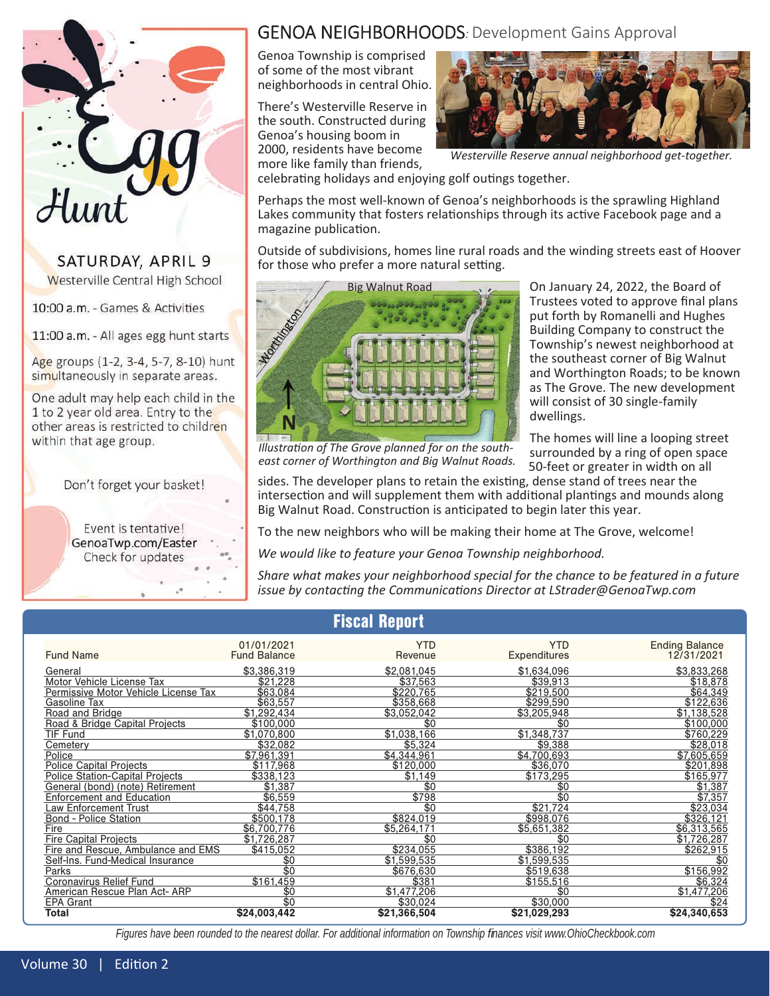

### SATURDAY, APRIL 9 Westerville Central High School

10:00 a.m. - Games & Activities

11:00 a.m. - All ages egg hunt starts

Age groups (1-2, 3-4, 5-7, 8-10) hunt simultaneously in separate areas.

One adult may help each child in the 1 to 2 year old area. Entry to the other areas is restricted to children within that age group.

Don't forget your basket!

Event is tentative! GenoaTwp.com/Easter Check for updates

## GENOA NEIGHBORHOODS*:* Development Gains Approval

Genoa Township is comprised of some of the most vibrant neighborhoods in central Ohio.

There's Westerville Reserve in the south. Constructed during Genoa's housing boom in 2000, residents have become more like family than friends,



*Westerville Reserve annual neighborhood get-together.* 

celebrating holidays and enjoying golf outings together.

Perhaps the most well-known of Genoa's neighborhoods is the sprawling Highland Lakes community that fosters relationships through its active Facebook page and a magazine publication.

Outside of subdivisions, homes line rural roads and the winding streets east of Hoover for those who prefer a more natural setting.



On January 24, 2022, the Board of Trustees voted to approve final plans put forth by Romanelli and Hughes Building Company to construct the Township's newest neighborhood at the southeast corner of Big Walnut and Worthington Roads; to be known as The Grove. The new development will consist of 30 single-family dwellings.

The homes will line a looping street surrounded by a ring of open space 50-feet or greater in width on all

*Illustration of The Grove planned for on the southeast corner of Worthington and Big Walnut Roads.* 

sides. The developer plans to retain the existing, dense stand of trees near the intersection and will supplement them with additional plantings and mounds along Big Walnut Road. Construction is anticipated to begin later this year.

To the new neighbors who will be making their home at The Grove, welcome!

*We would like to feature your Genoa Township neighborhood.*

*Share what makes your neighborhood special for the chance to be featured in a future issue by contacƟng the CommunicaƟons Director at LStrader@GenoaTwp.com* 

| <b>Fiscal Report</b>                   |                                   |                       |                            |                                     |
|----------------------------------------|-----------------------------------|-----------------------|----------------------------|-------------------------------------|
| <b>Fund Name</b>                       | 01/01/2021<br><b>Fund Balance</b> | <b>YTD</b><br>Revenue | <b>YTD</b><br>Expenditures | <b>Ending Balance</b><br>12/31/2021 |
| General                                | \$3,386,319                       | \$2,081,045           | \$1,634,096                | \$3,833,268                         |
| Motor Vehicle License Tax              | \$21,228                          | \$37.563              | \$39.913                   | \$18,878                            |
| Permissive Motor Vehicle License Tax   | \$63,084                          | \$220.765             | \$219,500                  | \$64,349                            |
| Gasoline Tax                           | \$63,557                          | \$358,668             | \$299,590                  | \$122,636                           |
| Road and Bridge                        | $\overline{\$1,}$ 292,434         | \$3,052,042           | \$3,205,948                | \$1,138,528                         |
| Road & Bridge Capital Projects         | \$100.000                         | \$0                   | \$0                        | \$100,000                           |
| TIF Fund                               | \$1,070,800                       | \$1.038.166           | \$1.348.737                | \$760,229                           |
| Cemetery                               | \$32,082                          | \$5.324               | \$9,388                    | \$28,018                            |
| Police                                 | \$7,961,391                       | \$4.344.961           | \$4.700.693                | \$7,605,659                         |
| Police Capital Projects                | \$117,968                         | \$120,000             | \$36,070                   | \$201,898                           |
| <b>Police Station-Capital Projects</b> | \$338,123                         | \$1,149               | \$173,295                  | \$165,977                           |
| General (bond) (note) Retirement       | \$1,387                           | $\overline{30}$       | \$0                        | \$1,387                             |
| <b>Enforcement and Education</b>       | \$6,559                           | \$798                 | \$0                        | \$7,357                             |
| Law Enforcement Trust                  | \$44,758                          | \$0                   | \$21.724                   | \$23,034                            |
| <b>Bond - Police Station</b>           | \$500,178                         | \$824.019             | \$998,076                  | \$326,121                           |
| Fire                                   | \$6,700,776                       | \$5,264,171           | \$5,651,382                | \$6,313,565                         |
| <b>Fire Capital Projects</b>           | \$1,726,287                       | \$0                   | \$0                        | \$1,726,287                         |
| Fire and Rescue, Ambulance and EMS     | \$415,052                         | \$234.055             | \$386,192                  | \$262,915                           |
| Self-Ins. Fund-Medical Insurance       | \$0                               | \$1,599,535           | \$1,599,535                | \$0                                 |
| Parks                                  | \$0                               | \$676,630             | \$519,638                  | \$156,992                           |
| Coronavirus Relief Fund                | \$161,459                         | \$381                 | \$155,516                  | \$6,324                             |
| American Rescue Plan Act- ARP          | \$0                               | \$1,477,206           | \$0                        | \$1,477,206                         |
| <b>EPA Grant</b>                       | \$0                               | \$30.024              | \$30,000                   | \$24                                |
| Total                                  | \$24,003,442                      | \$21,366,504          | \$21,029,293               | \$24,340,653                        |

*Figures have been rounded to the nearest dollar. For additional information on Township fi nances visit www.OhioCheckbook.com*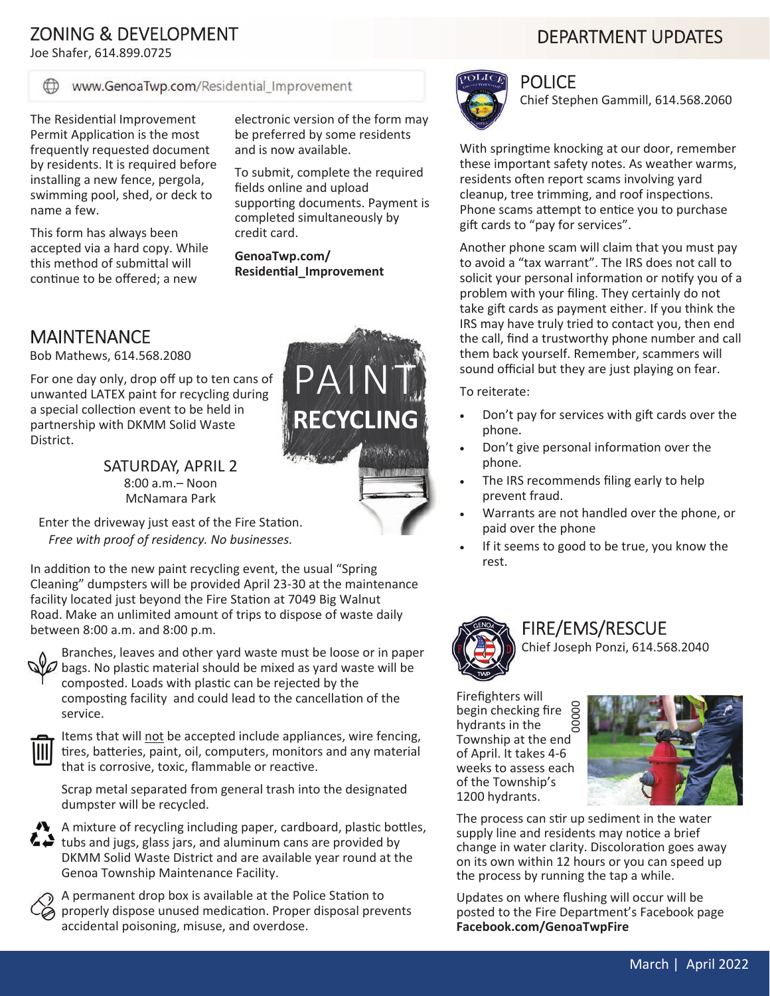## ZONING & DEVELOPMENT

Joe Shafer, 614.899.0725

#### www.GenoaTwp.com/Residential\_Improvement

The Residential Improvement Permit Application is the most frequently requested document by residents. It is required before installing a new fence, pergola, swimming pool, shed, or deck to name a few.

This form has always been accepted via a hard copy. While this method of submittal will continue to be offered; a new

electronic version of the form may be preferred by some residents and is now available.

To submit, complete the required fields online and upload supporting documents. Payment is completed simultaneously by credit card.

**GenoaTwp.com/ ResidenƟal\_Improvement** 

## MAINTENANCE

Bob Mathews, 614.568.2080

For one day only, drop off up to ten cans of unwanted LATEX paint for recycling during a special collection event to be held in partnership with DKMM Solid Waste District.

> SATURDAY, APRIL 2 8:00 a.m.– Noon McNamara Park

Enter the driveway just east of the Fire Station. *Free with proof of residency. No businesses.*

In addition to the new paint recycling event, the usual "Spring" Cleaning" dumpsters will be provided April 23-30 at the maintenance facility located just beyond the Fire Station at 7049 Big Walnut Road. Make an unlimited amount of trips to dispose of waste daily between 8:00 a.m. and 8:00 p.m.



Branches, leaves and other yard waste must be loose or in paper bags. No plastic material should be mixed as yard waste will be composted. Loads with plastic can be rejected by the composting facility and could lead to the cancellation of the service.



Items that will not be accepted include appliances, wire fencing, tires, batteries, paint, oil, computers, monitors and any material that is corrosive, toxic, flammable or reactive.

Scrap metal separated from general trash into the designated dumpster will be recycled.





A permanent drop box is available at the Police Station to properly dispose unused medication. Proper disposal prevents accidental poisoning, misuse, and overdose.



### POLICE

Chief Stephen Gammill, 614.568.2060

With springtime knocking at our door, remember these important safety notes. As weather warms, residents often report scams involving yard cleanup, tree trimming, and roof inspections. Phone scams attempt to entice you to purchase gift cards to "pay for services".

Another phone scam will claim that you must pay to avoid a "tax warrant". The IRS does not call to solicit your personal information or notify you of a problem with your filing. They certainly do not take gift cards as payment either. If you think the IRS may have truly tried to contact you, then end the call, find a trustworthy phone number and call them back yourself. Remember, scammers will sound official but they are just playing on fear.

To reiterate:

- Don't pay for services with gift cards over the phone.
- Don't give personal information over the phone.
- The IRS recommends filing early to help prevent fraud.
- Warrants are not handled over the phone, or paid over the phone
- If it seems to good to be true, you know the rest.



# FIRE/EMS/RESCUE

Chief Joseph Ponzi, 614.568.2040

Firefighters will begin checking fire hydrants in the Township at the end of April. It takes 4-6 weeks to assess each of the Township's 1200 hydrants. 00000



The process can stir up sediment in the water supply line and residents may notice a brief change in water clarity. Discoloration goes away on its own within 12 hours or you can speed up the process by running the tap a while.

Updates on where flushing will occur will be posted to the Fire Department's Facebook page **Facebook.com/GenoaTwpFire**

# DEPARTMENT UPDATES